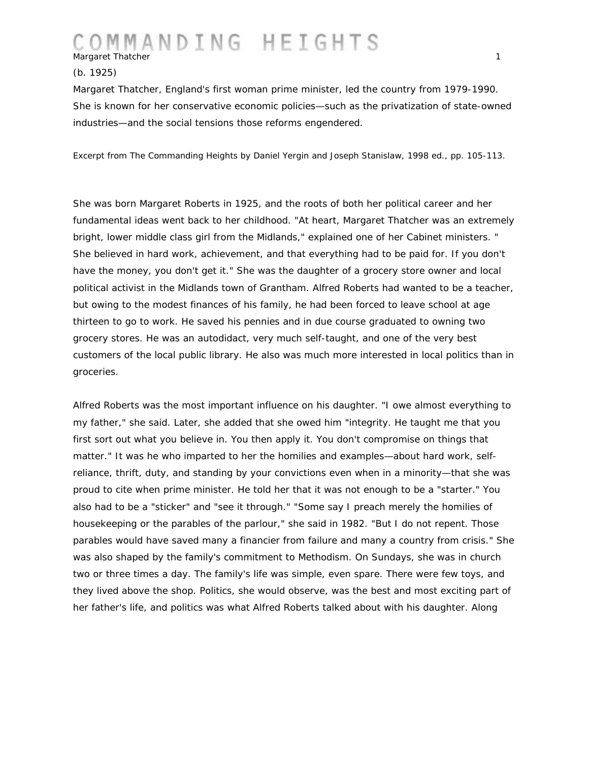### (b. 1925)

*Margaret Thatcher, England's first woman prime minister, led the country from 1979-1990. She is known for her conservative economic policies—such as the privatization of state-owned industries—and the social tensions those reforms engendered.*

Excerpt from *The Commanding Heights* by Daniel Yergin and Joseph Stanislaw, 1998 ed., pp. 105-113.

She was born Margaret Roberts in 1925, and the roots of both her political career and her fundamental ideas went back to her childhood. "At heart, Margaret Thatcher was an extremely bright, lower middle class girl from the Midlands," explained one of her Cabinet ministers. " She believed in hard work, achievement, and that everything had to be paid for. If you don't have the money, you don't get it." She was the daughter of a grocery store owner and local political activist in the Midlands town of Grantham. Alfred Roberts had wanted to be a teacher, but owing to the modest finances of his family, he had been forced to leave school at age thirteen to go to work. He saved his pennies and in due course graduated to owning two grocery stores. He was an autodidact, very much self-taught, and one of the very best customers of the local public library. He also was much more interested in local politics than in groceries.

Alfred Roberts was the most important influence on his daughter. "I owe almost everything to my father," she said. Later, she added that she owed him "integrity. He taught me that you first sort out what you believe in. You then apply it. You don't compromise on things that matter." It was he who imparted to her the homilies and examples—about hard work, selfreliance, thrift, duty, and standing by your convictions even when in a minority—that she was proud to cite when prime minister. He told her that it was not enough to be a "starter." You also had to be a "sticker" and "see it through." "Some say I preach merely the homilies of housekeeping or the parables of the parlour," she said in 1982. "But I do not repent. Those parables would have saved many a financier from failure and many a country from crisis." She was also shaped by the family's commitment to Methodism. On Sundays, she was in church two or three times a day. The family's life was simple, even spare. There were few toys, and they lived above the shop. Politics, she would observe, was the best and most exciting part of her father's life, and politics was what Alfred Roberts talked about with his daughter. Along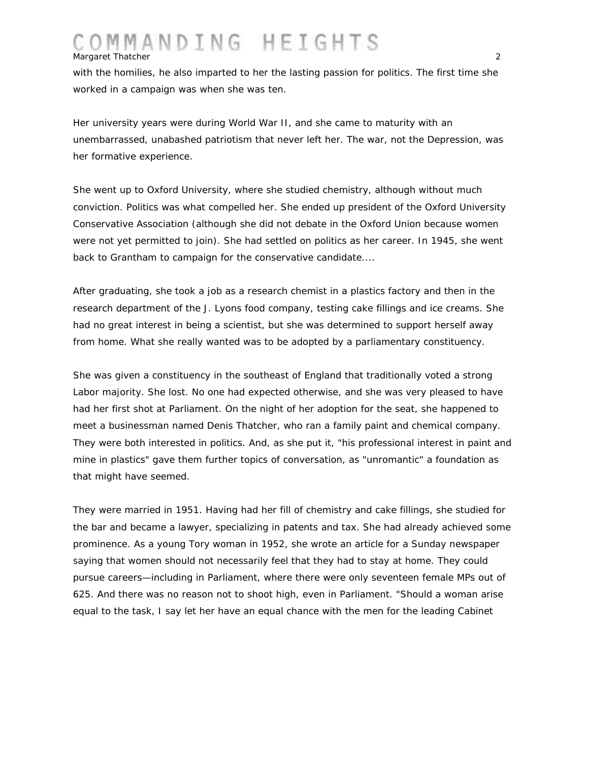with the homilies, he also imparted to her the lasting passion for politics. The first time she worked in a campaign was when she was ten.

Her university years were during World War II, and she came to maturity with an unembarrassed, unabashed patriotism that never left her. The war, not the Depression, was her formative experience.

She went up to Oxford University, where she studied chemistry, although without much conviction. Politics was what compelled her. She ended up president of the Oxford University Conservative Association (although she did not debate in the Oxford Union because women were not yet permitted to join). She had settled on politics as her career. In 1945, she went back to Grantham to campaign for the conservative candidate....

After graduating, she took a job as a research chemist in a plastics factory and then in the research department of the J. Lyons food company, testing cake fillings and ice creams. She had no great interest in being a scientist, but she was determined to support herself away from home. What she really wanted was to be adopted by a parliamentary constituency.

She was given a constituency in the southeast of England that traditionally voted a strong Labor majority. She lost. No one had expected otherwise, and she was very pleased to have had her first shot at Parliament. On the night of her adoption for the seat, she happened to meet a businessman named Denis Thatcher, who ran a family paint and chemical company. They were both interested in politics. And, as she put it, "his professional interest in paint and mine in plastics" gave them further topics of conversation, as "unromantic" a foundation as that might have seemed.

They were married in 1951. Having had her fill of chemistry and cake fillings, she studied for the bar and became a lawyer, specializing in patents and tax. She had already achieved some prominence. As a young Tory woman in 1952, she wrote an article for a Sunday newspaper saying that women should not necessarily feel that they had to stay at home. They could pursue careers—including in Parliament, where there were only seventeen female MPs out of 625. And there was no reason not to shoot high, even in Parliament. "Should a woman arise equal to the task, I say let her have an equal chance with the men for the leading Cabinet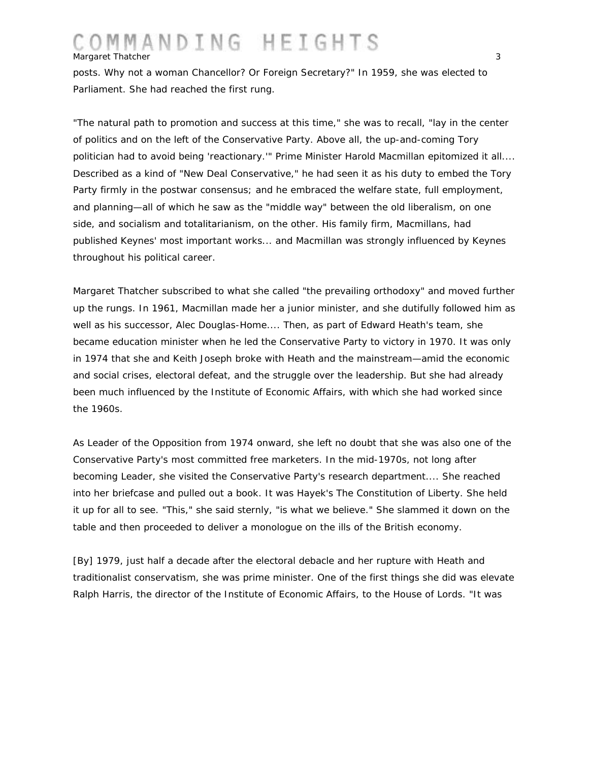posts. Why not a woman Chancellor? Or Foreign Secretary?" In 1959, she was elected to Parliament. She had reached the first rung.

"The natural path to promotion and success at this time," she was to recall, "lay in the center of politics and on the left of the Conservative Party. Above all, the up-and-coming Tory politician had to avoid being 'reactionary.'" Prime Minister Harold Macmillan epitomized it all.... Described as a kind of "New Deal Conservative," he had seen it as his duty to embed the Tory Party firmly in the postwar consensus; and he embraced the welfare state, full employment, and planning—all of which he saw as the "middle way" between the old liberalism, on one side, and socialism and totalitarianism, on the other. His family firm, Macmillans, had published Keynes' most important works... and Macmillan was strongly influenced by Keynes throughout his political career.

Margaret Thatcher subscribed to what she called "the prevailing orthodoxy" and moved further up the rungs. In 1961, Macmillan made her a junior minister, and she dutifully followed him as well as his successor, Alec Douglas-Home.... Then, as part of Edward Heath's team, she became education minister when he led the Conservative Party to victory in 1970. It was only in 1974 that she and Keith Joseph broke with Heath and the mainstream—amid the economic and social crises, electoral defeat, and the struggle over the leadership. But she had already been much influenced by the Institute of Economic Affairs, with which she had worked since the 1960s.

As Leader of the Opposition from 1974 onward, she left no doubt that she was also one of the Conservative Party's most committed free marketers. In the mid-1970s, not long after becoming Leader, she visited the Conservative Party's research department.... She reached into her briefcase and pulled out a book. It was Hayek's *The Constitution of Liberty.* She held it up for all to see. "This," she said sternly, "is what we believe." She slammed it down on the table and then proceeded to deliver a monologue on the ills of the British economy.

[By] 1979, just half a decade after the electoral debacle and her rupture with Heath and traditionalist conservatism, she was prime minister. One of the first things she did was elevate Ralph Harris, the director of the Institute of Economic Affairs, to the House of Lords. "It was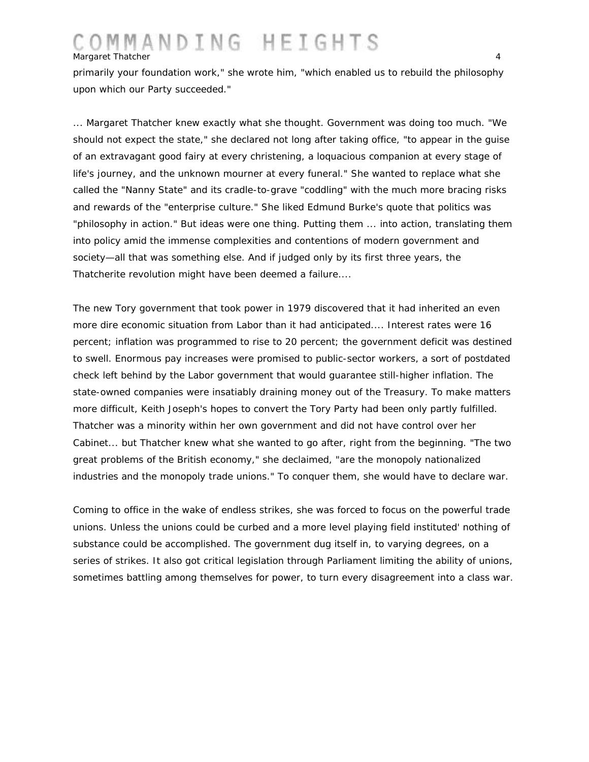primarily your foundation work," she wrote him, "which enabled us to rebuild the philosophy upon which our Party succeeded."

... Margaret Thatcher knew exactly what she thought. Government was doing too much. "We should not expect the state," she declared not long after taking office, "to appear in the guise of an extravagant good fairy at every christening, a loquacious companion at every stage of life's journey, and the unknown mourner at every funeral." She wanted to replace what she called the "Nanny State" and its cradle-to-grave "coddling" with the much more bracing risks and rewards of the "enterprise culture." She liked Edmund Burke's quote that politics was "philosophy in action." But ideas were one thing. Putting them ... into action, translating them into policy amid the immense complexities and contentions of modern government and society—all that was something else. And if judged only by its first three years, the Thatcherite revolution might have been deemed a failure....

The new Tory government that took power in 1979 discovered that it had inherited an even more dire economic situation from Labor than it had anticipated.... Interest rates were 16 percent; inflation was programmed to rise to 20 percent; the government deficit was destined to swell. Enormous pay increases were promised to public-sector workers, a sort of postdated check left behind by the Labor government that would guarantee still-higher inflation. The state-owned companies were insatiably draining money out of the Treasury. To make matters more difficult, Keith Joseph's hopes to convert the Tory Party had been only partly fulfilled. Thatcher was a minority within her own government and did not have control over her Cabinet... but Thatcher knew what she wanted to go after, right from the beginning. "The two great problems of the British economy," she declaimed, "are the monopoly nationalized industries and the monopoly trade unions." To conquer them, she would have to declare war.

Coming to office in the wake of endless strikes, she was forced to focus on the powerful trade unions. Unless the unions could be curbed and a more level playing field instituted' nothing of substance could be accomplished. The government dug itself in, to varying degrees, on a series of strikes. It also got critical legislation through Parliament limiting the ability of unions, sometimes battling among themselves for power, to turn every disagreement into a class war.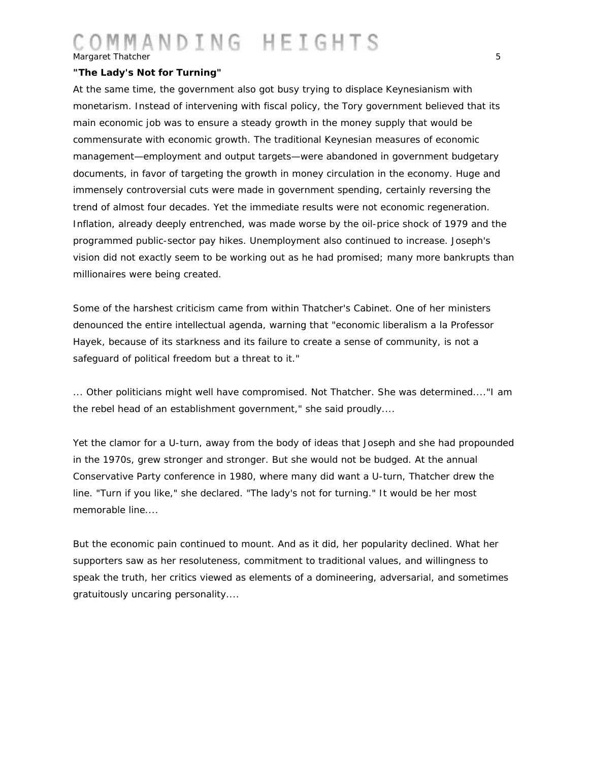# COMMANDING HEIGHTS

### **"The Lady's Not for Turning"**

At the same time, the government also got busy trying to displace Keynesianism with monetarism. Instead of intervening with fiscal policy, the Tory government believed that its main economic job was to ensure a steady growth in the money supply that would be commensurate with economic growth. The traditional Keynesian measures of economic management—employment and output targets—were abandoned in government budgetary documents, in favor of targeting the growth in money circulation in the economy. Huge and immensely controversial cuts were made in government spending, certainly reversing the trend of almost four decades. Yet the immediate results were not economic regeneration. Inflation, already deeply entrenched, was made worse by the oil-price shock of 1979 and the programmed public-sector pay hikes. Unemployment also continued to increase. Joseph's vision did not exactly seem to be working out as he had promised; many more bankrupts than millionaires were being created.

Some of the harshest criticism came from within Thatcher's Cabinet. One of her ministers denounced the entire intellectual agenda, warning that "economic liberalism a la Professor Hayek, because of its starkness and its failure to create a sense of community, is not a safeguard of political freedom but a threat to it."

... Other politicians might well have compromised. Not Thatcher. She was determined...."I am the rebel head of an establishment government," she said proudly....

Yet the clamor for a U-turn, away from the body of ideas that Joseph and she had propounded in the 1970s, grew stronger and stronger. But she would not be budged. At the annual Conservative Party conference in 1980, where many did want a U-turn, Thatcher drew the line. "Turn if you like," she declared. "The lady's not for turning." It would be her most memorable line....

But the economic pain continued to mount. And as it did, her popularity declined. What her supporters saw as her resoluteness, commitment to traditional values, and willingness to speak the truth, her critics viewed as elements of a domineering, adversarial, and sometimes gratuitously uncaring personality....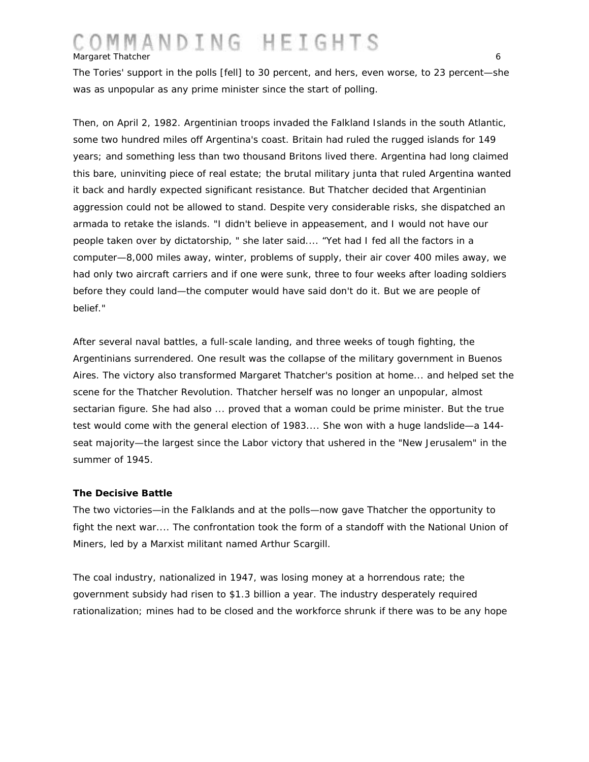The Tories' support in the polls [fell] to 30 percent, and hers, even worse, to 23 percent—she was as unpopular as any prime minister since the start of polling.

Then, on April 2, 1982. Argentinian troops invaded the Falkland Islands in the south Atlantic, some two hundred miles off Argentina's coast. Britain had ruled the rugged islands for 149 years; and something less than two thousand Britons lived there. Argentina had long claimed this bare, uninviting piece of real estate; the brutal military junta that ruled Argentina wanted it back and hardly expected significant resistance. But Thatcher decided that Argentinian aggression could not be allowed to stand. Despite very considerable risks, she dispatched an armada to retake the islands. "I didn't believe in appeasement, and I would not have our people taken over by dictatorship, " she later said.... "Yet had I fed all the factors in a computer—8,000 miles away, winter, problems of supply, their air cover 400 miles away, we had only two aircraft carriers and if one were sunk, three to four weeks after loading soldiers before they could land—the computer would have said don't do it. But we are people of belief."

After several naval battles, a full-scale landing, and three weeks of tough fighting, the Argentinians surrendered. One result was the collapse of the military government in Buenos Aires. The victory also transformed Margaret Thatcher's position at home... and helped set the scene for the Thatcher Revolution. Thatcher herself was no longer an unpopular, almost sectarian figure. She had also ... proved that a woman could be prime minister. But the true test would come with the general election of 1983.... She won with a huge landslide—a 144 seat majority—the largest since the Labor victory that ushered in the "New Jerusalem" in the summer of 1945.

### **The Decisive Battle**

The two victories—in the Falklands and at the polls—now gave Thatcher the opportunity to fight the next war.... The confrontation took the form of a standoff with the National Union of Miners, led by a Marxist militant named Arthur Scargill.

The coal industry, nationalized in 1947, was losing money at a horrendous rate; the government subsidy had risen to \$1.3 billion a year. The industry desperately required rationalization; mines had to be closed and the workforce shrunk if there was to be any hope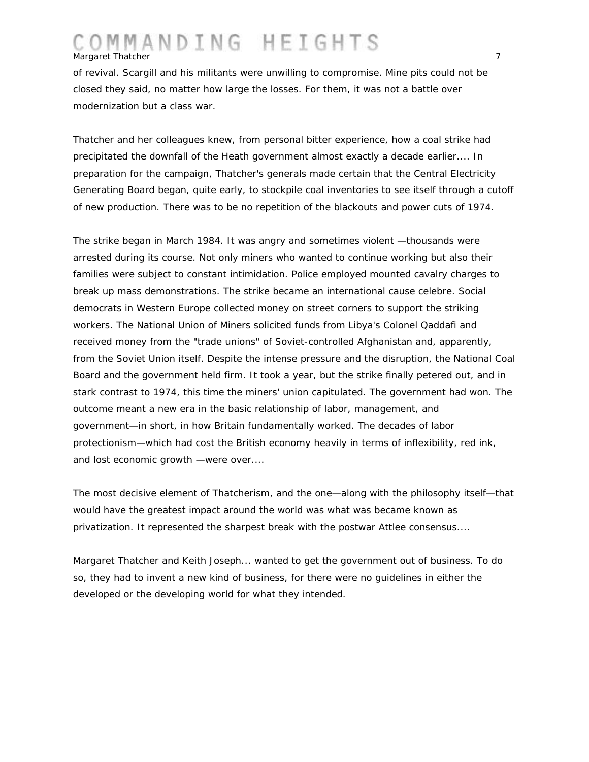### OMMANDING HEIGHTS Margaret Thatcher 7 2002 12:30 12:30 12:30 12:30 12:30 12:30 12:30 12:30 12:30 12:30 12:30 12:30 12:30 12:30 12:30 12:30 12:30 12:30 12:30 12:30 12:30 12:30 12:30 12:30 12:30 12:30 12:30 12:30 12:30 12:30 12:30 12:30 12:30

of revival. Scargill and his militants were unwilling to compromise. Mine pits could not be closed they said, no matter how large the losses. For them, it was not a battle over modernization but a class war.

Thatcher and her colleagues knew, from personal bitter experience, how a coal strike had precipitated the downfall of the Heath government almost exactly a decade earlier.... In preparation for the campaign, Thatcher's generals made certain that the Central Electricity Generating Board began, quite early, to stockpile coal inventories to see itself through a cutoff of new production. There was to be no repetition of the blackouts and power cuts of 1974.

The strike began in March 1984. It was angry and sometimes violent —thousands were arrested during its course. Not only miners who wanted to continue working but also their families were subject to constant intimidation. Police employed mounted cavalry charges to break up mass demonstrations. The strike became an international cause celebre. Social democrats in Western Europe collected money on street corners to support the striking workers. The National Union of Miners solicited funds from Libya's Colonel Qaddafi and received money from the "trade unions" of Soviet-controlled Afghanistan and, apparently, from the Soviet Union itself. Despite the intense pressure and the disruption, the National Coal Board and the government held firm. It took a year, but the strike finally petered out, and in stark contrast to 1974, this time the miners' union capitulated. The government had won. The outcome meant a new era in the basic relationship of labor, management, and government—in short, in how Britain fundamentally worked. The decades of labor protectionism—which had cost the British economy heavily in terms of inflexibility, red ink, and lost economic growth —were over....

The most decisive element of Thatcherism, and the one—along with the philosophy itself—that would have the greatest impact around the world was what was became known as privatization. It represented the sharpest break with the postwar Attlee consensus....

Margaret Thatcher and Keith Joseph... wanted to get the government out of business. To do so, they had to invent a new kind of business, for there were no guidelines in either the developed or the developing world for what they intended.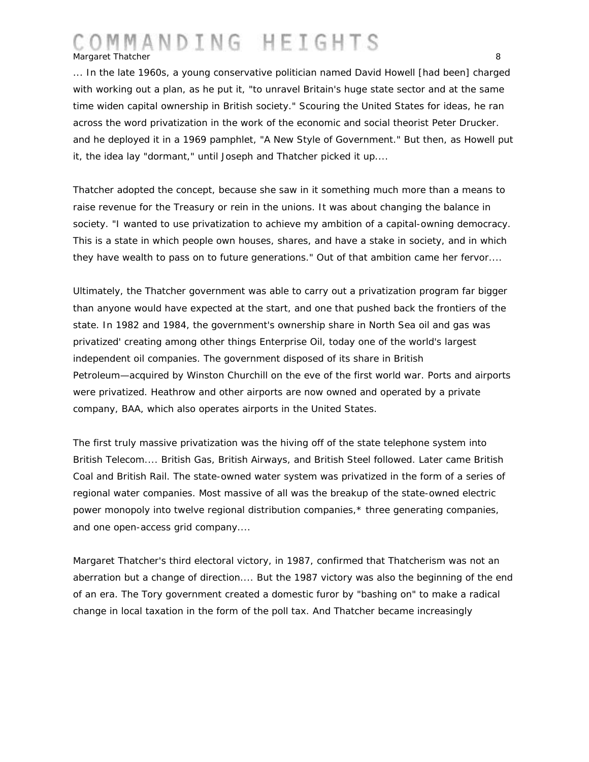... In the late 1960s, a young conservative politician named David Howell [had been] charged with working out a plan, as he put it, "to unravel Britain's huge state sector and at the same time widen capital ownership in British society." Scouring the United States for ideas, he ran across the word privatization in the work of the economic and social theorist Peter Drucker. and he deployed it in a 1969 pamphlet, "A New Style of Government." But then, as Howell put it, the idea lay "dormant," until Joseph and Thatcher picked it up....

Thatcher adopted the concept, because she saw in it something much more than a means to raise revenue for the Treasury or rein in the unions. It was about changing the balance in society. "I wanted to use privatization to achieve my ambition of a capital-owning democracy. This is a state in which people own houses, shares, and have a stake in society, and in which they have wealth to pass on to future generations." Out of that ambition came her fervor....

Ultimately, the Thatcher government was able to carry out a privatization program far bigger than anyone would have expected at the start, and one that pushed back the frontiers of the state. In 1982 and 1984, the government's ownership share in North Sea oil and gas was privatized' creating among other things Enterprise Oil, today one of the world's largest independent oil companies. The government disposed of its share in British Petroleum—acquired by Winston Churchill on the eve of the first world war. Ports and airports were privatized. Heathrow and other airports are now owned and operated by a private company, BAA, which also operates airports in the United States.

The first truly massive privatization was the hiving off of the state telephone system into British Telecom.... British Gas, British Airways, and British Steel followed. Later came British Coal and British Rail. The state-owned water system was privatized in the form of a series of regional water companies. Most massive of all was the breakup of the state-owned electric power monopoly into twelve regional distribution companies,\* three generating companies, and one open-access grid company....

Margaret Thatcher's third electoral victory, in 1987, confirmed that Thatcherism was not an aberration but a change of direction.... But the 1987 victory was also the beginning of the end of an era. The Tory government created a domestic furor by "bashing on" to make a radical change in local taxation in the form of the poll tax. And Thatcher became increasingly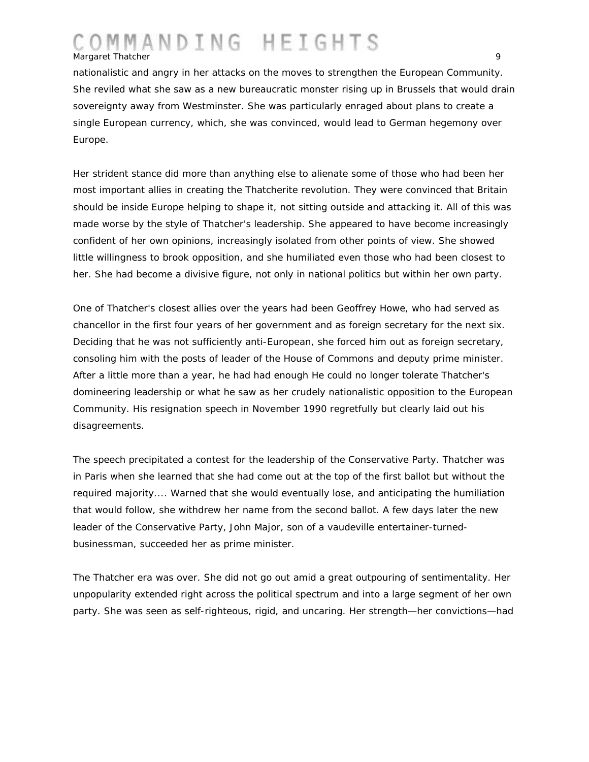nationalistic and angry in her attacks on the moves to strengthen the European Community. She reviled what she saw as a new bureaucratic monster rising up in Brussels that would drain sovereignty away from Westminster. She was particularly enraged about plans to create a single European currency, which, she was convinced, would lead to German hegemony over Europe.

Her strident stance did more than anything else to alienate some of those who had been her most important allies in creating the Thatcherite revolution. They were convinced that Britain should be inside Europe helping to shape it, not sitting outside and attacking it. All of this was made worse by the style of Thatcher's leadership. She appeared to have become increasingly confident of her own opinions, increasingly isolated from other points of view. She showed little willingness to brook opposition, and she humiliated even those who had been closest to her. She had become a divisive figure, not only in national politics but within her own party.

One of Thatcher's closest allies over the years had been Geoffrey Howe, who had served as chancellor in the first four years of her government and as foreign secretary for the next six. Deciding that he was not sufficiently anti-European, she forced him out as foreign secretary, consoling him with the posts of leader of the House of Commons and deputy prime minister. After a little more than a year, he had had enough He could no longer tolerate Thatcher's domineering leadership or what he saw as her crudely nationalistic opposition to the European Community. His resignation speech in November 1990 regretfully but clearly laid out his disagreements.

The speech precipitated a contest for the leadership of the Conservative Party. Thatcher was in Paris when she learned that she had come out at the top of the first ballot but without the required majority.... Warned that she would eventually lose, and anticipating the humiliation that would follow, she withdrew her name from the second ballot. A few days later the new leader of the Conservative Party, John Major, son of a vaudeville entertainer-turnedbusinessman, succeeded her as prime minister.

The Thatcher era was over. She did not go out amid a great outpouring of sentimentality. Her unpopularity extended right across the political spectrum and into a large segment of her own party. She was seen as self-righteous, rigid, and uncaring. Her strength—her convictions—had